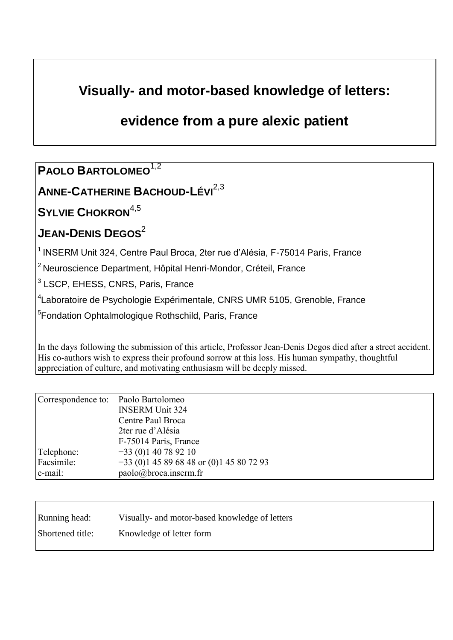# **Visually- and motor-based knowledge of letters:**

## **evidence from a pure alexic patient**

## **PAOLO BARTOLOMEO**1,2

## **ANNE-CATHERINE BACHOUD-LÉVI**2,3

### **SYLVIE CHOKRON**4,5

# **JEAN-DENIS DEGOS**<sup>2</sup>

<sup>1</sup> INSERM Unit 324, Centre Paul Broca, 2ter rue d'Alésia, F-75014 Paris, France

<sup>2</sup> Neuroscience Department, Hôpital Henri-Mondor, Créteil, France

<sup>3</sup> LSCP, EHESS, CNRS, Paris, France

<sup>4</sup>Laboratoire de Psychologie Expérimentale, CNRS UMR 5105, Grenoble, France

<sup>5</sup> Fondation Ophtalmologique Rothschild, Paris, France

In the days following the submission of this article, Professor Jean-Denis Degos died after a street accident. His co-authors wish to express their profound sorrow at this loss. His human sympathy, thoughtful appreciation of culture, and motivating enthusiasm will be deeply missed.

| Correspondence to: Paolo Bartolomeo |                                            |
|-------------------------------------|--------------------------------------------|
|                                     | <b>INSERM Unit 324</b>                     |
|                                     | Centre Paul Broca                          |
|                                     | 2ter rue d'Alésia                          |
|                                     | F-75014 Paris, France                      |
| Telephone:                          | $+33(0)140789210$                          |
| Facsimile:                          | $+33$ (0)1 45 89 68 48 or (0)1 45 80 72 93 |
| e-mail:                             | paolo@broca.inserm.fr                      |

| Running head:    | Visually- and motor-based knowledge of letters |
|------------------|------------------------------------------------|
| Shortened title: | Knowledge of letter form                       |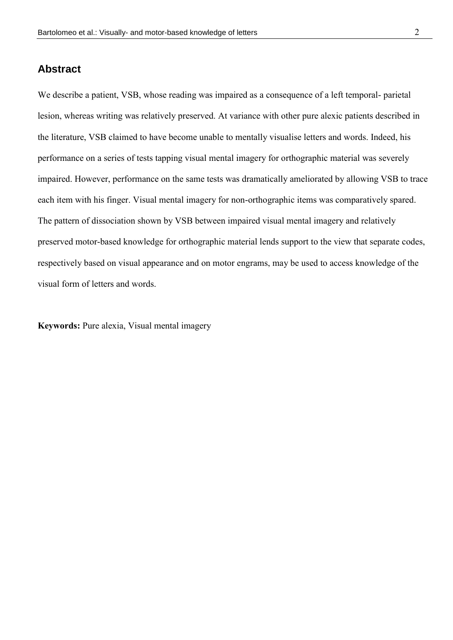#### **Abstract**

We describe a patient, VSB, whose reading was impaired as a consequence of a left temporal- parietal lesion, whereas writing was relatively preserved. At variance with other pure alexic patients described in the literature, VSB claimed to have become unable to mentally visualise letters and words. Indeed, his performance on a series of tests tapping visual mental imagery for orthographic material was severely impaired. However, performance on the same tests was dramatically ameliorated by allowing VSB to trace each item with his finger. Visual mental imagery for non-orthographic items was comparatively spared. The pattern of dissociation shown by VSB between impaired visual mental imagery and relatively preserved motor-based knowledge for orthographic material lends support to the view that separate codes, respectively based on visual appearance and on motor engrams, may be used to access knowledge of the visual form of letters and words.

**Keywords:** Pure alexia, Visual mental imagery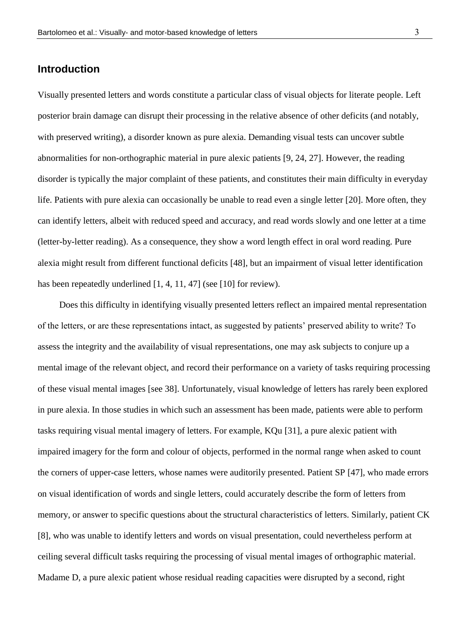#### **Introduction**

Visually presented letters and words constitute a particular class of visual objects for literate people. Left posterior brain damage can disrupt their processing in the relative absence of other deficits (and notably, with preserved writing), a disorder known as pure alexia. Demanding visual tests can uncover subtle abnormalities for non-orthographic material in pure alexic patients [9, 24, 27]. However, the reading disorder is typically the major complaint of these patients, and constitutes their main difficulty in everyday life. Patients with pure alexia can occasionally be unable to read even a single letter [20]. More often, they can identify letters, albeit with reduced speed and accuracy, and read words slowly and one letter at a time (letter-by-letter reading). As a consequence, they show a word length effect in oral word reading. Pure alexia might result from different functional deficits [48], but an impairment of visual letter identification has been repeatedly underlined [1, 4, 11, 47] (see [10] for review).

Does this difficulty in identifying visually presented letters reflect an impaired mental representation of the letters, or are these representations intact, as suggested by patients" preserved ability to write? To assess the integrity and the availability of visual representations, one may ask subjects to conjure up a mental image of the relevant object, and record their performance on a variety of tasks requiring processing of these visual mental images [see 38]. Unfortunately, visual knowledge of letters has rarely been explored in pure alexia. In those studies in which such an assessment has been made, patients were able to perform tasks requiring visual mental imagery of letters. For example, KQu [31], a pure alexic patient with impaired imagery for the form and colour of objects, performed in the normal range when asked to count the corners of upper-case letters, whose names were auditorily presented. Patient SP [47], who made errors on visual identification of words and single letters, could accurately describe the form of letters from memory, or answer to specific questions about the structural characteristics of letters. Similarly, patient CK [8], who was unable to identify letters and words on visual presentation, could nevertheless perform at ceiling several difficult tasks requiring the processing of visual mental images of orthographic material. Madame D, a pure alexic patient whose residual reading capacities were disrupted by a second, right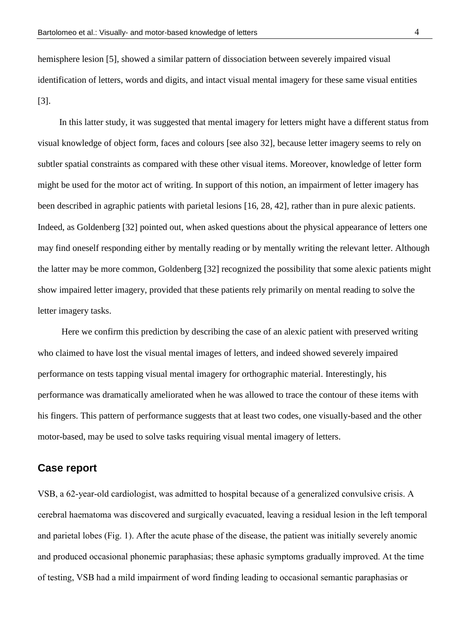hemisphere lesion [5], showed a similar pattern of dissociation between severely impaired visual identification of letters, words and digits, and intact visual mental imagery for these same visual entities [3].

In this latter study, it was suggested that mental imagery for letters might have a different status from visual knowledge of object form, faces and colours [see also 32], because letter imagery seems to rely on subtler spatial constraints as compared with these other visual items. Moreover, knowledge of letter form might be used for the motor act of writing. In support of this notion, an impairment of letter imagery has been described in agraphic patients with parietal lesions [16, 28, 42], rather than in pure alexic patients. Indeed, as Goldenberg [32] pointed out, when asked questions about the physical appearance of letters one may find oneself responding either by mentally reading or by mentally writing the relevant letter. Although the latter may be more common, Goldenberg [32] recognized the possibility that some alexic patients might show impaired letter imagery, provided that these patients rely primarily on mental reading to solve the letter imagery tasks.

Here we confirm this prediction by describing the case of an alexic patient with preserved writing who claimed to have lost the visual mental images of letters, and indeed showed severely impaired performance on tests tapping visual mental imagery for orthographic material. Interestingly, his performance was dramatically ameliorated when he was allowed to trace the contour of these items with his fingers. This pattern of performance suggests that at least two codes, one visually-based and the other motor-based, may be used to solve tasks requiring visual mental imagery of letters.

#### **Case report**

VSB, a 62-year-old cardiologist, was admitted to hospital because of a generalized convulsive crisis. A cerebral haematoma was discovered and surgically evacuated, leaving a residual lesion in the left temporal and parietal lobes (Fig. 1). After the acute phase of the disease, the patient was initially severely anomic and produced occasional phonemic paraphasias; these aphasic symptoms gradually improved. At the time of testing, VSB had a mild impairment of word finding leading to occasional semantic paraphasias or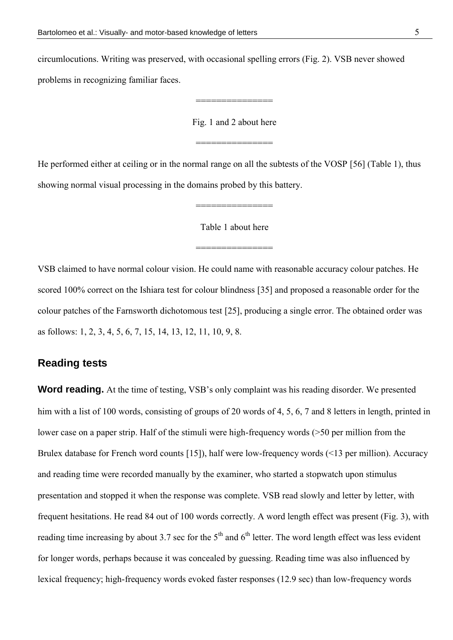circumlocutions. Writing was preserved, with occasional spelling errors (Fig. 2). VSB never showed problems in recognizing familiar faces.

Fig. 1 and 2 about here

===============

===============

He performed either at ceiling or in the normal range on all the subtests of the VOSP [56] (Table 1), thus showing normal visual processing in the domains probed by this battery.

Table 1 about here

===============

===============

VSB claimed to have normal colour vision. He could name with reasonable accuracy colour patches. He scored 100% correct on the Ishiara test for colour blindness [35] and proposed a reasonable order for the colour patches of the Farnsworth dichotomous test [25], producing a single error. The obtained order was as follows: 1, 2, 3, 4, 5, 6, 7, 15, 14, 13, 12, 11, 10, 9, 8.

#### **Reading tests**

**Word reading.** At the time of testing, VSB's only complaint was his reading disorder. We presented him with a list of 100 words, consisting of groups of 20 words of 4, 5, 6, 7 and 8 letters in length, printed in lower case on a paper strip. Half of the stimuli were high-frequency words (>50 per million from the Brulex database for French word counts [15]), half were low-frequency words (<13 per million). Accuracy and reading time were recorded manually by the examiner, who started a stopwatch upon stimulus presentation and stopped it when the response was complete. VSB read slowly and letter by letter, with frequent hesitations. He read 84 out of 100 words correctly. A word length effect was present (Fig. 3), with reading time increasing by about 3.7 sec for the  $5<sup>th</sup>$  and  $6<sup>th</sup>$  letter. The word length effect was less evident for longer words, perhaps because it was concealed by guessing. Reading time was also influenced by lexical frequency; high-frequency words evoked faster responses (12.9 sec) than low-frequency words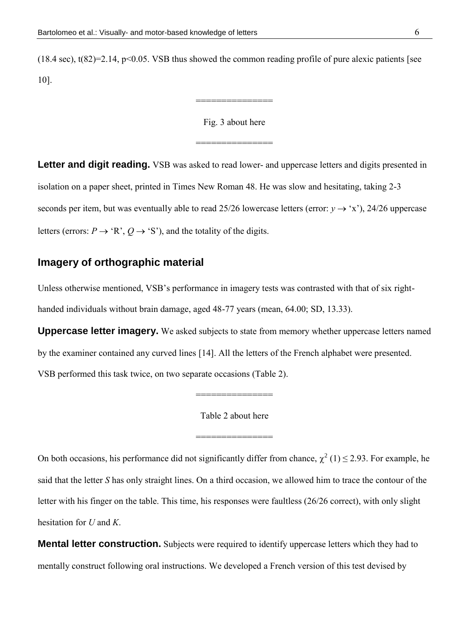(18.4 sec), t(82)=2.14, p<0.05. VSB thus showed the common reading profile of pure alexic patients [see 10].

#### Fig. 3 about here

===============

===============

**Letter and digit reading.** VSB was asked to read lower- and uppercase letters and digits presented in isolation on a paper sheet, printed in Times New Roman 48. He was slow and hesitating, taking 2-3 seconds per item, but was eventually able to read 25/26 lowercase letters (error:  $y \rightarrow 'x'$ ), 24/26 uppercase letters (errors:  $P \rightarrow 'R', Q \rightarrow 'S'$ ), and the totality of the digits.

### **Imagery of orthographic material**

Unless otherwise mentioned, VSB"s performance in imagery tests was contrasted with that of six righthanded individuals without brain damage, aged 48-77 years (mean, 64.00; SD, 13.33).

**Uppercase letter imagery.** We asked subjects to state from memory whether uppercase letters named by the examiner contained any curved lines [14]. All the letters of the French alphabet were presented. VSB performed this task twice, on two separate occasions (Table 2).

Table 2 about here

===============

===============

On both occasions, his performance did not significantly differ from chance,  $\chi^2(1) \le 2.93$ . For example, he said that the letter *S* has only straight lines. On a third occasion, we allowed him to trace the contour of the letter with his finger on the table. This time, his responses were faultless (26/26 correct), with only slight hesitation for *U* and *K*.

**Mental letter construction.** Subjects were required to identify uppercase letters which they had to mentally construct following oral instructions. We developed a French version of this test devised by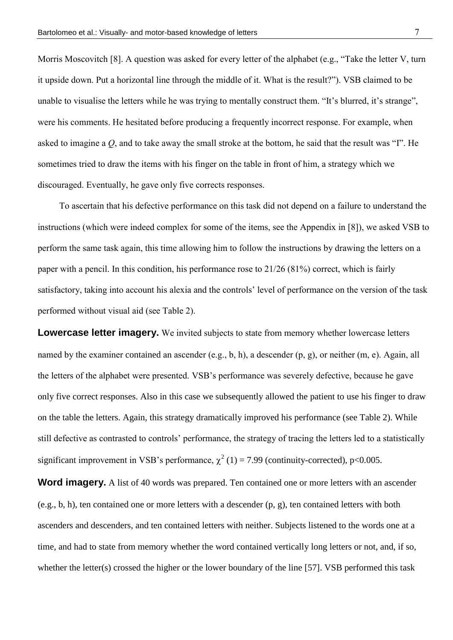Morris Moscovitch [8]. A question was asked for every letter of the alphabet (e.g., "Take the letter V, turn it upside down. Put a horizontal line through the middle of it. What is the result?"). VSB claimed to be unable to visualise the letters while he was trying to mentally construct them. "It's blurred, it's strange", were his comments. He hesitated before producing a frequently incorrect response. For example, when asked to imagine a *Q*, and to take away the small stroke at the bottom, he said that the result was "I". He sometimes tried to draw the items with his finger on the table in front of him, a strategy which we discouraged. Eventually, he gave only five corrects responses.

To ascertain that his defective performance on this task did not depend on a failure to understand the instructions (which were indeed complex for some of the items, see the Appendix in [8]), we asked VSB to perform the same task again, this time allowing him to follow the instructions by drawing the letters on a paper with a pencil. In this condition, his performance rose to 21/26 (81%) correct, which is fairly satisfactory, taking into account his alexia and the controls" level of performance on the version of the task performed without visual aid (see Table 2).

**Lowercase letter imagery.** We invited subjects to state from memory whether lowercase letters named by the examiner contained an ascender (e.g., b, h), a descender (p, g), or neither (m, e). Again, all the letters of the alphabet were presented. VSB"s performance was severely defective, because he gave only five correct responses. Also in this case we subsequently allowed the patient to use his finger to draw on the table the letters. Again, this strategy dramatically improved his performance (see Table 2). While still defective as contrasted to controls' performance, the strategy of tracing the letters led to a statistically significant improvement in VSB's performance,  $\chi^2$  (1) = 7.99 (continuity-corrected), p<0.005.

**Word imagery.** A list of 40 words was prepared. Ten contained one or more letters with an ascender (e.g., b, h), ten contained one or more letters with a descender (p, g), ten contained letters with both ascenders and descenders, and ten contained letters with neither. Subjects listened to the words one at a time, and had to state from memory whether the word contained vertically long letters or not, and, if so, whether the letter(s) crossed the higher or the lower boundary of the line [57]. VSB performed this task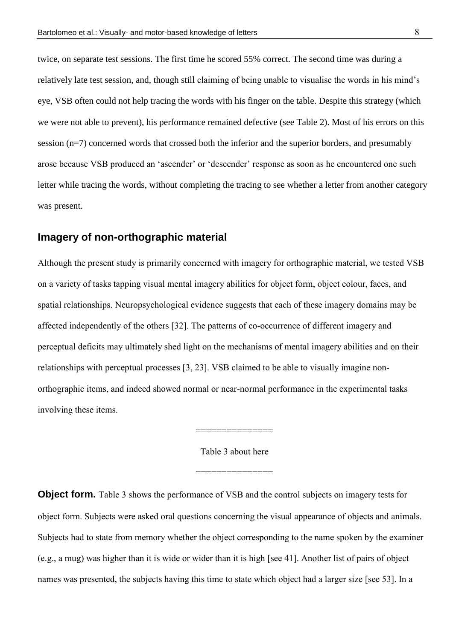twice, on separate test sessions. The first time he scored 55% correct. The second time was during a relatively late test session, and, though still claiming of being unable to visualise the words in his mind"s eye, VSB often could not help tracing the words with his finger on the table. Despite this strategy (which we were not able to prevent), his performance remained defective (see Table 2). Most of his errors on this session (n=7) concerned words that crossed both the inferior and the superior borders, and presumably arose because VSB produced an "ascender" or "descender" response as soon as he encountered one such letter while tracing the words, without completing the tracing to see whether a letter from another category was present.

#### **Imagery of non-orthographic material**

Although the present study is primarily concerned with imagery for orthographic material, we tested VSB on a variety of tasks tapping visual mental imagery abilities for object form, object colour, faces, and spatial relationships. Neuropsychological evidence suggests that each of these imagery domains may be affected independently of the others [32]. The patterns of co-occurrence of different imagery and perceptual deficits may ultimately shed light on the mechanisms of mental imagery abilities and on their relationships with perceptual processes [3, 23]. VSB claimed to be able to visually imagine nonorthographic items, and indeed showed normal or near-normal performance in the experimental tasks involving these items.

Table 3 about here

===============

===============

**Object form.** Table 3 shows the performance of VSB and the control subjects on imagery tests for object form. Subjects were asked oral questions concerning the visual appearance of objects and animals. Subjects had to state from memory whether the object corresponding to the name spoken by the examiner (e.g., a mug) was higher than it is wide or wider than it is high [see 41]. Another list of pairs of object names was presented, the subjects having this time to state which object had a larger size [see 53]. In a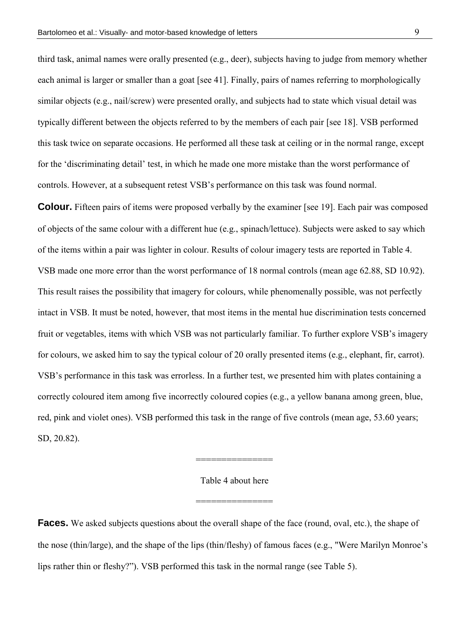third task, animal names were orally presented (e.g., deer), subjects having to judge from memory whether each animal is larger or smaller than a goat [see 41]. Finally, pairs of names referring to morphologically similar objects (e.g., nail/screw) were presented orally, and subjects had to state which visual detail was typically different between the objects referred to by the members of each pair [see 18]. VSB performed this task twice on separate occasions. He performed all these task at ceiling or in the normal range, except for the "discriminating detail" test, in which he made one more mistake than the worst performance of controls. However, at a subsequent retest VSB"s performance on this task was found normal.

**Colour.** Fifteen pairs of items were proposed verbally by the examiner [see 19]. Each pair was composed of objects of the same colour with a different hue (e.g., spinach/lettuce). Subjects were asked to say which of the items within a pair was lighter in colour. Results of colour imagery tests are reported in Table 4. VSB made one more error than the worst performance of 18 normal controls (mean age 62.88, SD 10.92). This result raises the possibility that imagery for colours, while phenomenally possible, was not perfectly intact in VSB. It must be noted, however, that most items in the mental hue discrimination tests concerned fruit or vegetables, items with which VSB was not particularly familiar. To further explore VSB"s imagery for colours, we asked him to say the typical colour of 20 orally presented items (e.g., elephant, fir, carrot). VSB"s performance in this task was errorless. In a further test, we presented him with plates containing a correctly coloured item among five incorrectly coloured copies (e.g., a yellow banana among green, blue, red, pink and violet ones). VSB performed this task in the range of five controls (mean age, 53.60 years; SD, 20.82).

Table 4 about here

===============

===============

**Faces.** We asked subjects questions about the overall shape of the face (round, oval, etc.), the shape of the nose (thin/large), and the shape of the lips (thin/fleshy) of famous faces (e.g., "Were Marilyn Monroe"s lips rather thin or fleshy?"). VSB performed this task in the normal range (see Table 5).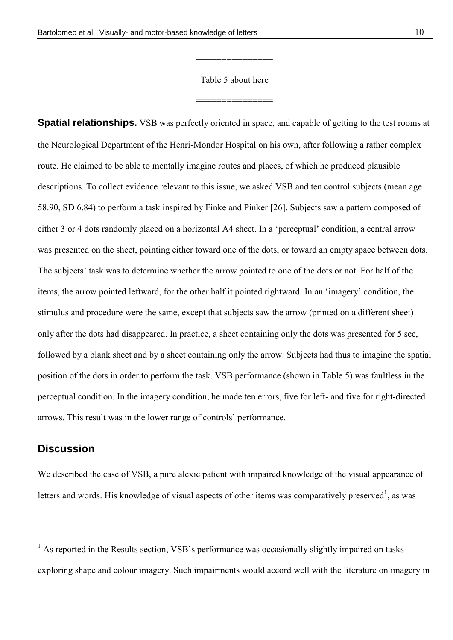#### Table 5 about here

===============

===============

**Spatial relationships.** VSB was perfectly oriented in space, and capable of getting to the test rooms at the Neurological Department of the Henri-Mondor Hospital on his own, after following a rather complex route. He claimed to be able to mentally imagine routes and places, of which he produced plausible descriptions. To collect evidence relevant to this issue, we asked VSB and ten control subjects (mean age 58.90, SD 6.84) to perform a task inspired by Finke and Pinker [26]. Subjects saw a pattern composed of either 3 or 4 dots randomly placed on a horizontal A4 sheet. In a "perceptual" condition, a central arrow was presented on the sheet, pointing either toward one of the dots, or toward an empty space between dots. The subjects' task was to determine whether the arrow pointed to one of the dots or not. For half of the items, the arrow pointed leftward, for the other half it pointed rightward. In an "imagery" condition, the stimulus and procedure were the same, except that subjects saw the arrow (printed on a different sheet) only after the dots had disappeared. In practice, a sheet containing only the dots was presented for 5 sec, followed by a blank sheet and by a sheet containing only the arrow. Subjects had thus to imagine the spatial position of the dots in order to perform the task. VSB performance (shown in Table 5) was faultless in the perceptual condition. In the imagery condition, he made ten errors, five for left- and five for right-directed arrows. This result was in the lower range of controls" performance.

#### **Discussion**

 $\overline{a}$ 

We described the case of VSB, a pure alexic patient with impaired knowledge of the visual appearance of letters and words. His knowledge of visual aspects of other items was comparatively preserved<sup>1</sup>, as was

 $<sup>1</sup>$  As reported in the Results section, VSB's performance was occasionally slightly impaired on tasks</sup> exploring shape and colour imagery. Such impairments would accord well with the literature on imagery in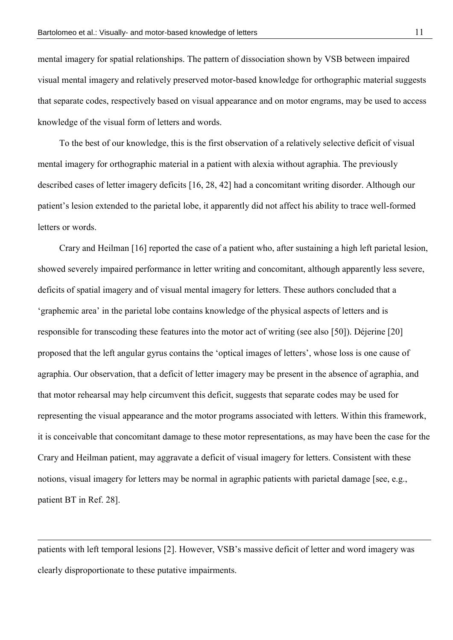mental imagery for spatial relationships. The pattern of dissociation shown by VSB between impaired visual mental imagery and relatively preserved motor-based knowledge for orthographic material suggests that separate codes, respectively based on visual appearance and on motor engrams, may be used to access knowledge of the visual form of letters and words.

To the best of our knowledge, this is the first observation of a relatively selective deficit of visual mental imagery for orthographic material in a patient with alexia without agraphia. The previously described cases of letter imagery deficits [16, 28, 42] had a concomitant writing disorder. Although our patient"s lesion extended to the parietal lobe, it apparently did not affect his ability to trace well-formed letters or words.

Crary and Heilman [16] reported the case of a patient who, after sustaining a high left parietal lesion, showed severely impaired performance in letter writing and concomitant, although apparently less severe, deficits of spatial imagery and of visual mental imagery for letters. These authors concluded that a "graphemic area" in the parietal lobe contains knowledge of the physical aspects of letters and is responsible for transcoding these features into the motor act of writing (see also [50]). Déjerine [20] proposed that the left angular gyrus contains the "optical images of letters", whose loss is one cause of agraphia. Our observation, that a deficit of letter imagery may be present in the absence of agraphia, and that motor rehearsal may help circumvent this deficit, suggests that separate codes may be used for representing the visual appearance and the motor programs associated with letters. Within this framework, it is conceivable that concomitant damage to these motor representations, as may have been the case for the Crary and Heilman patient, may aggravate a deficit of visual imagery for letters. Consistent with these notions, visual imagery for letters may be normal in agraphic patients with parietal damage [see, e.g., patient BT in Ref. 28].

patients with left temporal lesions [2]. However, VSB"s massive deficit of letter and word imagery was clearly disproportionate to these putative impairments.

 $\overline{a}$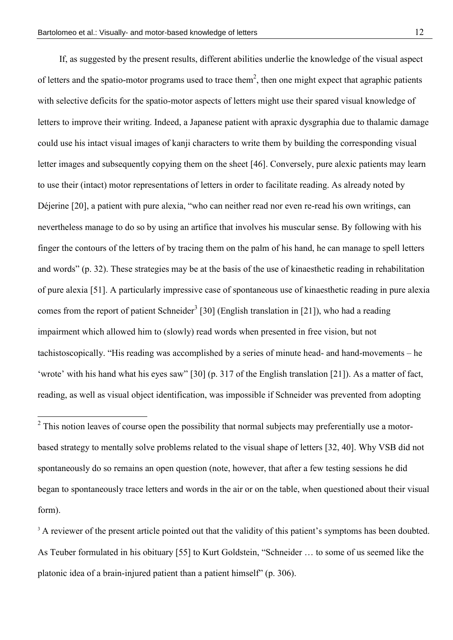$\overline{a}$ 

If, as suggested by the present results, different abilities underlie the knowledge of the visual aspect of letters and the spatio-motor programs used to trace them<sup>2</sup>, then one might expect that agraphic patients with selective deficits for the spatio-motor aspects of letters might use their spared visual knowledge of letters to improve their writing. Indeed, a Japanese patient with apraxic dysgraphia due to thalamic damage could use his intact visual images of kanji characters to write them by building the corresponding visual letter images and subsequently copying them on the sheet [46]. Conversely, pure alexic patients may learn to use their (intact) motor representations of letters in order to facilitate reading. As already noted by Déjerine [20], a patient with pure alexia, "who can neither read nor even re-read his own writings, can nevertheless manage to do so by using an artifice that involves his muscular sense. By following with his finger the contours of the letters of by tracing them on the palm of his hand, he can manage to spell letters and words" (p. 32). These strategies may be at the basis of the use of kinaesthetic reading in rehabilitation of pure alexia [51]. A particularly impressive case of spontaneous use of kinaesthetic reading in pure alexia comes from the report of patient Schneider<sup>3</sup> [30] (English translation in [21]), who had a reading impairment which allowed him to (slowly) read words when presented in free vision, but not tachistoscopically. "His reading was accomplished by a series of minute head- and hand-movements – he 'wrote' with his hand what his eyes saw"  $[30]$  (p. 317 of the English translation  $[21]$ ). As a matter of fact, reading, as well as visual object identification, was impossible if Schneider was prevented from adopting

 $2$  This notion leaves of course open the possibility that normal subjects may preferentially use a motorbased strategy to mentally solve problems related to the visual shape of letters [32, 40]. Why VSB did not spontaneously do so remains an open question (note, however, that after a few testing sessions he did began to spontaneously trace letters and words in the air or on the table, when questioned about their visual form).

<sup>&</sup>lt;sup>3</sup> A reviewer of the present article pointed out that the validity of this patient's symptoms has been doubted. As Teuber formulated in his obituary [55] to Kurt Goldstein, "Schneider … to some of us seemed like the platonic idea of a brain-injured patient than a patient himself" (p. 306).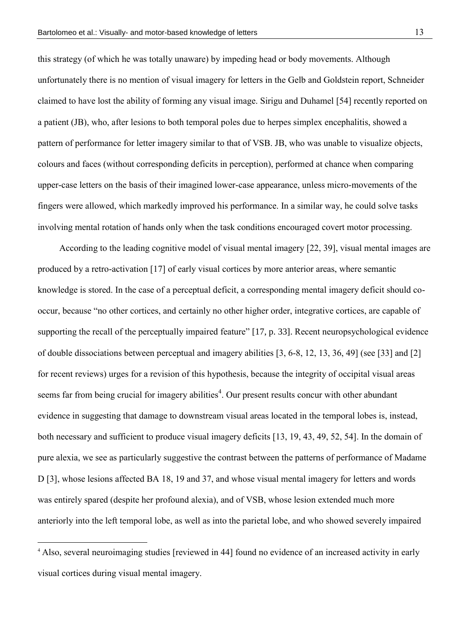this strategy (of which he was totally unaware) by impeding head or body movements. Although unfortunately there is no mention of visual imagery for letters in the Gelb and Goldstein report, Schneider claimed to have lost the ability of forming any visual image. Sirigu and Duhamel [54] recently reported on a patient (JB), who, after lesions to both temporal poles due to herpes simplex encephalitis, showed a pattern of performance for letter imagery similar to that of VSB. JB, who was unable to visualize objects, colours and faces (without corresponding deficits in perception), performed at chance when comparing upper-case letters on the basis of their imagined lower-case appearance, unless micro-movements of the fingers were allowed, which markedly improved his performance. In a similar way, he could solve tasks involving mental rotation of hands only when the task conditions encouraged covert motor processing.

According to the leading cognitive model of visual mental imagery [22, 39], visual mental images are produced by a retro-activation [17] of early visual cortices by more anterior areas, where semantic knowledge is stored. In the case of a perceptual deficit, a corresponding mental imagery deficit should cooccur, because "no other cortices, and certainly no other higher order, integrative cortices, are capable of supporting the recall of the perceptually impaired feature" [17, p. 33]. Recent neuropsychological evidence of double dissociations between perceptual and imagery abilities [3, 6-8, 12, 13, 36, 49] (see [33] and [2] for recent reviews) urges for a revision of this hypothesis, because the integrity of occipital visual areas seems far from being crucial for imagery abilities<sup>4</sup>. Our present results concur with other abundant evidence in suggesting that damage to downstream visual areas located in the temporal lobes is, instead, both necessary and sufficient to produce visual imagery deficits [13, 19, 43, 49, 52, 54]. In the domain of pure alexia, we see as particularly suggestive the contrast between the patterns of performance of Madame D [3], whose lesions affected BA 18, 19 and 37, and whose visual mental imagery for letters and words was entirely spared (despite her profound alexia), and of VSB, whose lesion extended much more anteriorly into the left temporal lobe, as well as into the parietal lobe, and who showed severely impaired

 $\overline{a}$ 

<sup>4</sup> Also, several neuroimaging studies [reviewed in 44] found no evidence of an increased activity in early visual cortices during visual mental imagery.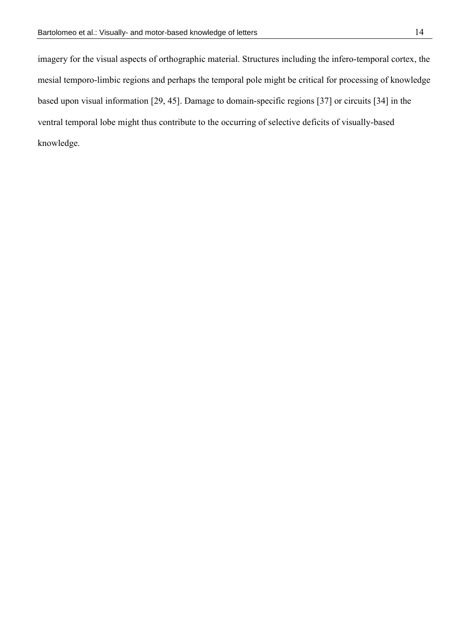imagery for the visual aspects of orthographic material. Structures including the infero-temporal cortex, the mesial temporo-limbic regions and perhaps the temporal pole might be critical for processing of knowledge based upon visual information [29, 45]. Damage to domain-specific regions [37] or circuits [34] in the ventral temporal lobe might thus contribute to the occurring of selective deficits of visually-based knowledge.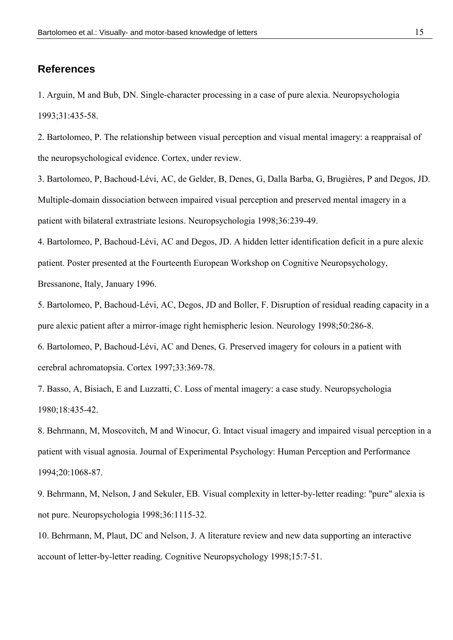#### **References**

1. Arguin, M and Bub, DN. Single-character processing in a case of pure alexia. Neuropsychologia 1993;31:435-58.

2. Bartolomeo, P. The relationship between visual perception and visual mental imagery: a reappraisal of the neuropsychological evidence. Cortex, under review.

3. Bartolomeo, P, Bachoud-Lévi, AC, de Gelder, B, Denes, G, Dalla Barba, G, Brugières, P and Degos, JD. Multiple-domain dissociation between impaired visual perception and preserved mental imagery in a patient with bilateral extrastriate lesions. Neuropsychologia 1998;36:239-49.

4. Bartolomeo, P, Bachoud-Lévi, AC and Degos, JD. A hidden letter identification deficit in a pure alexic patient. Poster presented at the Fourteenth European Workshop on Cognitive Neuropsychology, Bressanone, Italy, January 1996.

5. Bartolomeo, P, Bachoud-Lévi, AC, Degos, JD and Boller, F. Disruption of residual reading capacity in a pure alexic patient after a mirror-image right hemispheric lesion. Neurology 1998;50:286-8.

6. Bartolomeo, P, Bachoud-Lévi, AC and Denes, G. Preserved imagery for colours in a patient with cerebral achromatopsia. Cortex 1997;33:369-78.

7. Basso, A, Bisiach, E and Luzzatti, C. Loss of mental imagery: a case study. Neuropsychologia 1980;18:435-42.

8. Behrmann, M, Moscovitch, M and Winocur, G. Intact visual imagery and impaired visual perception in a patient with visual agnosia. Journal of Experimental Psychology: Human Perception and Performance 1994;20:1068-87.

9. Behrmann, M, Nelson, J and Sekuler, EB. Visual complexity in letter-by-letter reading: "pure" alexia is not pure. Neuropsychologia 1998;36:1115-32.

10. Behrmann, M, Plaut, DC and Nelson, J. A literature review and new data supporting an interactive account of letter-by-letter reading. Cognitive Neuropsychology 1998;15:7-51.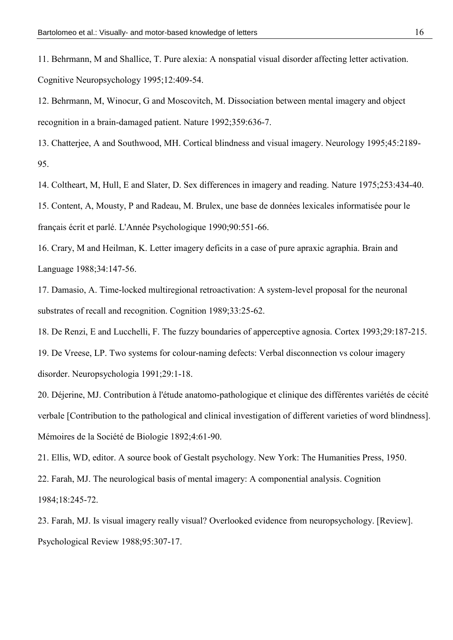11. Behrmann, M and Shallice, T. Pure alexia: A nonspatial visual disorder affecting letter activation. Cognitive Neuropsychology 1995;12:409-54.

12. Behrmann, M, Winocur, G and Moscovitch, M. Dissociation between mental imagery and object recognition in a brain-damaged patient. Nature 1992;359:636-7.

13. Chatterjee, A and Southwood, MH. Cortical blindness and visual imagery. Neurology 1995;45:2189- 95.

14. Coltheart, M, Hull, E and Slater, D. Sex differences in imagery and reading. Nature 1975;253:434-40.

15. Content, A, Mousty, P and Radeau, M. Brulex, une base de données lexicales informatisée pour le français écrit et parlé. L'Année Psychologique 1990;90:551-66.

16. Crary, M and Heilman, K. Letter imagery deficits in a case of pure apraxic agraphia. Brain and Language 1988;34:147-56.

17. Damasio, A. Time-locked multiregional retroactivation: A system-level proposal for the neuronal substrates of recall and recognition. Cognition 1989;33:25-62.

18. De Renzi, E and Lucchelli, F. The fuzzy boundaries of apperceptive agnosia. Cortex 1993;29:187-215.

19. De Vreese, LP. Two systems for colour-naming defects: Verbal disconnection vs colour imagery disorder. Neuropsychologia 1991;29:1-18.

20. Déjerine, MJ. Contribution à l'étude anatomo-pathologique et clinique des différentes variétés de cécité verbale [Contribution to the pathological and clinical investigation of different varieties of word blindness]. Mémoires de la Société de Biologie 1892;4:61-90.

21. Ellis, WD, editor. A source book of Gestalt psychology. New York: The Humanities Press, 1950.

22. Farah, MJ. The neurological basis of mental imagery: A componential analysis. Cognition

1984;18:245-72.

23. Farah, MJ. Is visual imagery really visual? Overlooked evidence from neuropsychology. [Review]. Psychological Review 1988;95:307-17.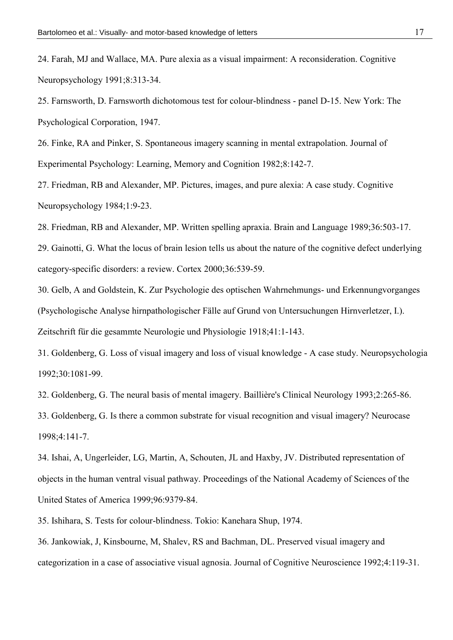24. Farah, MJ and Wallace, MA. Pure alexia as a visual impairment: A reconsideration. Cognitive Neuropsychology 1991;8:313-34.

25. Farnsworth, D. Farnsworth dichotomous test for colour-blindness - panel D-15. New York: The Psychological Corporation, 1947.

26. Finke, RA and Pinker, S. Spontaneous imagery scanning in mental extrapolation. Journal of Experimental Psychology: Learning, Memory and Cognition 1982;8:142-7.

27. Friedman, RB and Alexander, MP. Pictures, images, and pure alexia: A case study. Cognitive Neuropsychology 1984;1:9-23.

28. Friedman, RB and Alexander, MP. Written spelling apraxia. Brain and Language 1989;36:503-17.

29. Gainotti, G. What the locus of brain lesion tells us about the nature of the cognitive defect underlying category-specific disorders: a review. Cortex 2000;36:539-59.

30. Gelb, A and Goldstein, K. Zur Psychologie des optischen Wahrnehmungs- und Erkennungvorganges (Psychologische Analyse hirnpathologischer Fälle auf Grund von Untersuchungen Hirnverletzer, I.). Zeitschrift für die gesammte Neurologie und Physiologie 1918;41:1-143.

31. Goldenberg, G. Loss of visual imagery and loss of visual knowledge - A case study. Neuropsychologia 1992;30:1081-99.

32. Goldenberg, G. The neural basis of mental imagery. Baillière's Clinical Neurology 1993;2:265-86.

33. Goldenberg, G. Is there a common substrate for visual recognition and visual imagery? Neurocase 1998;4:141-7.

34. Ishai, A, Ungerleider, LG, Martin, A, Schouten, JL and Haxby, JV. Distributed representation of objects in the human ventral visual pathway. Proceedings of the National Academy of Sciences of the United States of America 1999;96:9379-84.

35. Ishihara, S. Tests for colour-blindness. Tokio: Kanehara Shup, 1974.

36. Jankowiak, J, Kinsbourne, M, Shalev, RS and Bachman, DL. Preserved visual imagery and categorization in a case of associative visual agnosia. Journal of Cognitive Neuroscience 1992;4:119-31.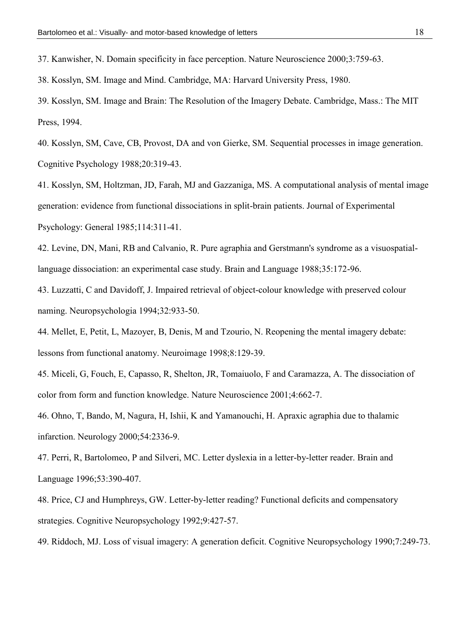37. Kanwisher, N. Domain specificity in face perception. Nature Neuroscience 2000;3:759-63.

38. Kosslyn, SM. Image and Mind. Cambridge, MA: Harvard University Press, 1980.

39. Kosslyn, SM. Image and Brain: The Resolution of the Imagery Debate. Cambridge, Mass.: The MIT Press, 1994.

40. Kosslyn, SM, Cave, CB, Provost, DA and von Gierke, SM. Sequential processes in image generation. Cognitive Psychology 1988;20:319-43.

41. Kosslyn, SM, Holtzman, JD, Farah, MJ and Gazzaniga, MS. A computational analysis of mental image generation: evidence from functional dissociations in split-brain patients. Journal of Experimental Psychology: General 1985;114:311-41.

42. Levine, DN, Mani, RB and Calvanio, R. Pure agraphia and Gerstmann's syndrome as a visuospatiallanguage dissociation: an experimental case study. Brain and Language 1988;35:172-96.

43. Luzzatti, C and Davidoff, J. Impaired retrieval of object-colour knowledge with preserved colour naming. Neuropsychologia 1994;32:933-50.

44. Mellet, E, Petit, L, Mazoyer, B, Denis, M and Tzourio, N. Reopening the mental imagery debate: lessons from functional anatomy. Neuroimage 1998;8:129-39.

45. Miceli, G, Fouch, E, Capasso, R, Shelton, JR, Tomaiuolo, F and Caramazza, A. The dissociation of color from form and function knowledge. Nature Neuroscience 2001;4:662-7.

46. Ohno, T, Bando, M, Nagura, H, Ishii, K and Yamanouchi, H. Apraxic agraphia due to thalamic infarction. Neurology 2000;54:2336-9.

47. Perri, R, Bartolomeo, P and Silveri, MC. Letter dyslexia in a letter-by-letter reader. Brain and Language 1996;53:390-407.

48. Price, CJ and Humphreys, GW. Letter-by-letter reading? Functional deficits and compensatory strategies. Cognitive Neuropsychology 1992;9:427-57.

49. Riddoch, MJ. Loss of visual imagery: A generation deficit. Cognitive Neuropsychology 1990;7:249-73.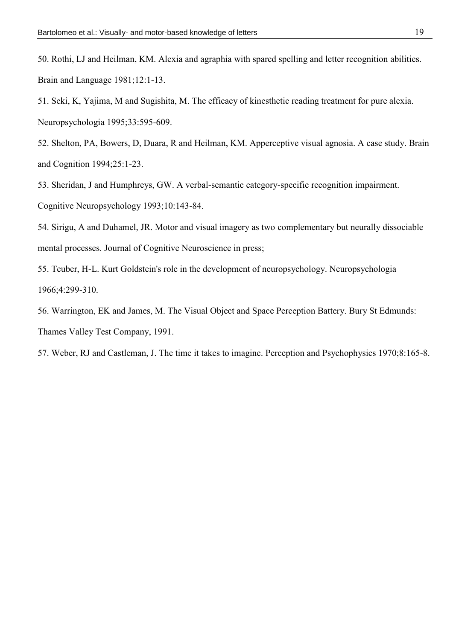51. Seki, K, Yajima, M and Sugishita, M. The efficacy of kinesthetic reading treatment for pure alexia. Neuropsychologia 1995;33:595-609.

52. Shelton, PA, Bowers, D, Duara, R and Heilman, KM. Apperceptive visual agnosia. A case study. Brain and Cognition 1994;25:1-23.

53. Sheridan, J and Humphreys, GW. A verbal-semantic category-specific recognition impairment.

Cognitive Neuropsychology 1993;10:143-84.

54. Sirigu, A and Duhamel, JR. Motor and visual imagery as two complementary but neurally dissociable mental processes. Journal of Cognitive Neuroscience in press;

55. Teuber, H-L. Kurt Goldstein's role in the development of neuropsychology. Neuropsychologia 1966;4:299-310.

56. Warrington, EK and James, M. The Visual Object and Space Perception Battery. Bury St Edmunds: Thames Valley Test Company, 1991.

57. Weber, RJ and Castleman, J. The time it takes to imagine. Perception and Psychophysics 1970;8:165-8.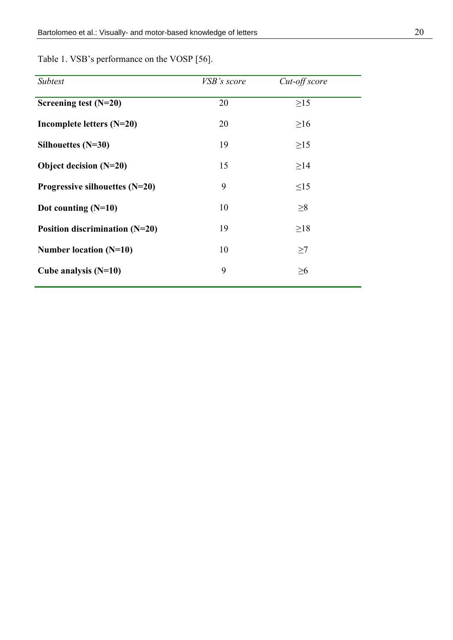| Subtest                          | VSB's score | Cut-off score |
|----------------------------------|-------------|---------------|
| Screening test $(N=20)$          | 20          | $\geq$ 15     |
| Incomplete letters $(N=20)$      | 20          | $\geq 16$     |
| Silhouettes $(N=30)$             | 19          | $\geq$ 15     |
| Object decision $(N=20)$         | 15          | $\geq$ 14     |
| Progressive silhouettes $(N=20)$ | 9           | $\leq$ 15     |
| Dot counting $(N=10)$            | 10          | $\geq 8$      |
| Position discrimination (N=20)   | 19          | $\geq$ 18     |
| Number location (N=10)           | 10          | $\geq$ 7      |
| Cube analysis $(N=10)$           | 9           | $\geq 6$      |
|                                  |             |               |

Table 1. VSB's performance on the VOSP [56].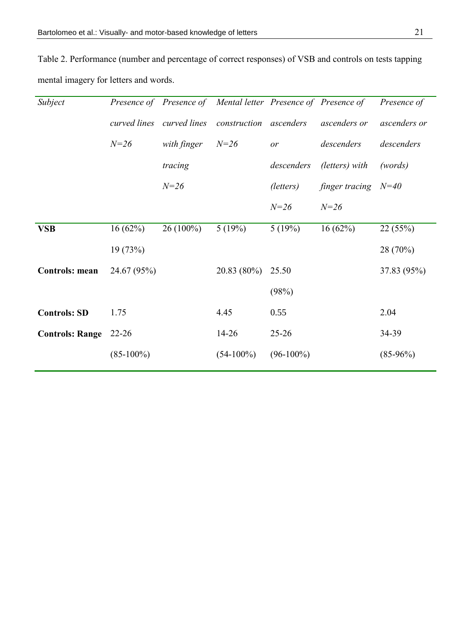Table 2. Performance (number and percentage of correct responses) of VSB and controls on tests tapping mental imagery for letters and words.

| Subject                |                           |             | Presence of Presence of Mental letter Presence of Presence of |              |                | Presence of  |
|------------------------|---------------------------|-------------|---------------------------------------------------------------|--------------|----------------|--------------|
|                        | curved lines curved lines |             | construction ascenders                                        |              | ascenders or   | ascenders or |
|                        | $N = 26$                  | with finger | $N = 26$                                                      | or           | descenders     | descenders   |
|                        |                           | tracing     |                                                               | descenders   | (letters) with | (words)      |
|                        |                           | $N = 26$    |                                                               | (letters)    | finger tracing | $N=40$       |
|                        |                           |             |                                                               | $N = 26$     | $N = 26$       |              |
| <b>VSB</b>             | 16(62%)                   | $26(100\%)$ | 5(19%)                                                        | 5(19%)       | 16(62%)        | 22(55%)      |
|                        | 19(73%)                   |             |                                                               |              |                | 28 (70%)     |
| <b>Controls: mean</b>  | 24.67 (95%)               |             | $20.83(80\%)$                                                 | 25.50        |                | 37.83 (95%)  |
|                        |                           |             |                                                               | (98%)        |                |              |
| <b>Controls: SD</b>    | 1.75                      |             | 4.45                                                          | 0.55         |                | 2.04         |
| <b>Controls: Range</b> | $22 - 26$                 |             | $14 - 26$                                                     | $25 - 26$    |                | 34-39        |
|                        | $(85-100\%)$              |             | $(54-100\%)$                                                  | $(96-100\%)$ |                | $(85-96%)$   |
|                        |                           |             |                                                               |              |                |              |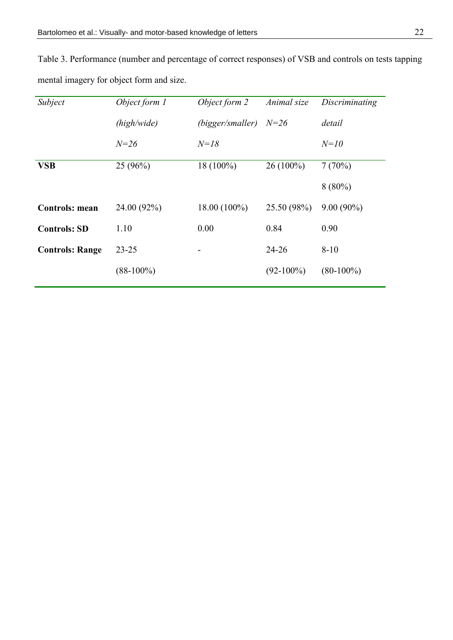| Subject                | Object form 1 | Object form 2    | Animal size  | Discriminating |
|------------------------|---------------|------------------|--------------|----------------|
|                        | (high/wide)   | (bigger/smaller) | $N = 26$     | detail         |
|                        | $N = 26$      | $N = 18$         |              | $N=10$         |
| <b>VSB</b>             | $25(96\%)$    | $18(100\%)$      | $26(100\%)$  | 7(70%)         |
|                        |               |                  |              | $8(80\%)$      |
| <b>Controls: mean</b>  | 24.00 (92%)   | $18.00(100\%)$   | 25.50 (98%)  | $9.00(90\%)$   |
| <b>Controls: SD</b>    | 1.10          | 0.00             | 0.84         | 0.90           |
| <b>Controls: Range</b> | $23 - 25$     |                  | $24 - 26$    | $8 - 10$       |
|                        | $(88-100\%)$  |                  | $(92-100\%)$ | $(80-100\%)$   |
|                        |               |                  |              |                |

Table 3. Performance (number and percentage of correct responses) of VSB and controls on tests tapping mental imagery for object form and size.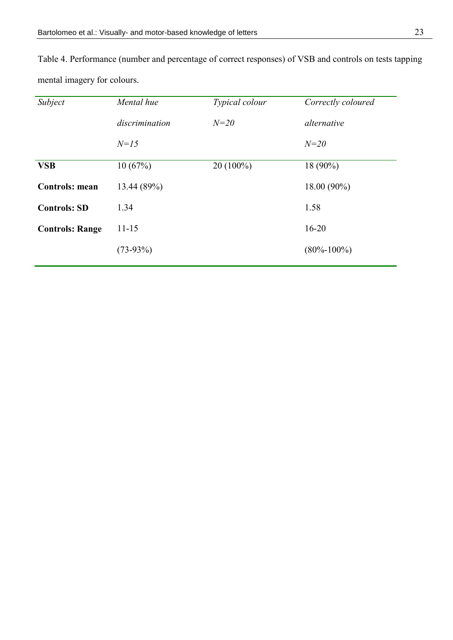| Subject                | Mental hue     | Typical colour | Correctly coloured |
|------------------------|----------------|----------------|--------------------|
|                        | discrimination | $N=20$         | alternative        |
|                        | $N=15$         |                | $N = 20$           |
| <b>VSB</b>             | 10(67%)        | $20(100\%)$    | $18(90\%)$         |
| <b>Controls: mean</b>  | 13.44 (89%)    |                | 18.00 (90%)        |
| <b>Controls: SD</b>    | 1.34           |                | 1.58               |
| <b>Controls: Range</b> | $11 - 15$      |                | $16 - 20$          |
|                        | $(73-93%)$     |                | $(80\% - 100\%)$   |

Table 4. Performance (number and percentage of correct responses) of VSB and controls on tests tapping mental imagery for colours.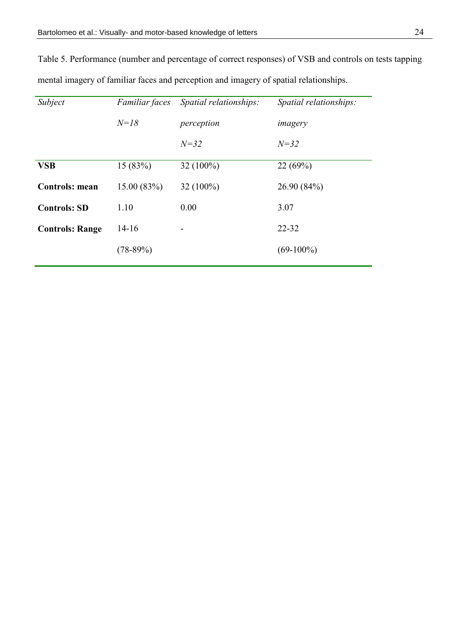Table 5. Performance (number and percentage of correct responses) of VSB and controls on tests tapping mental imagery of familiar faces and perception and imagery of spatial relationships.

| Subject                | Familiar faces | Spatial relationships: | Spatial relationships: |
|------------------------|----------------|------------------------|------------------------|
|                        | $N = 18$       | perception             | imagery                |
|                        |                | $N = 32$               | $N = 32$               |
| <b>VSB</b>             | 15(83%)        | $32(100\%)$            | 22(69%)                |
| <b>Controls: mean</b>  | 15.00(83%)     | 32 (100%)              | 26.90 (84%)            |
| <b>Controls: SD</b>    | 1.10           | 0.00                   | 3.07                   |
| <b>Controls: Range</b> | $14-16$        | -                      | $22 - 32$              |
|                        | $(78-89%)$     |                        | $(69-100\%)$           |
|                        |                |                        |                        |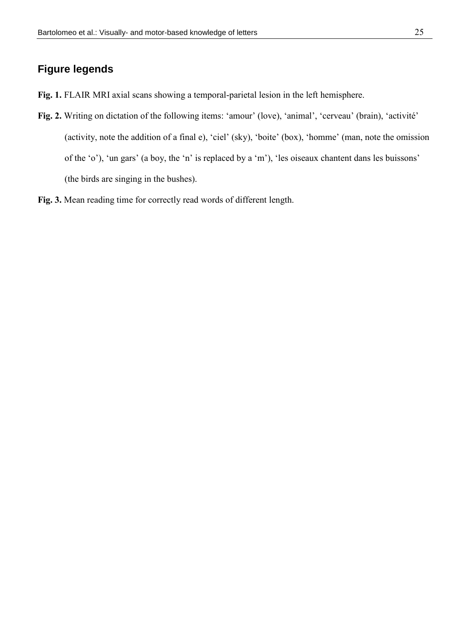### **Figure legends**

- Fig. 1. FLAIR MRI axial scans showing a temporal-parietal lesion in the left hemisphere.
- **Fig. 2.** Writing on dictation of the following items: 'amour' (love), 'animal', 'cerveau' (brain), 'activité' (activity, note the addition of a final e), "ciel" (sky), "boite" (box), "homme" (man, note the omission of the 'o'), 'un gars' (a boy, the 'n' is replaced by a 'm'), 'les oiseaux chantent dans les buissons' (the birds are singing in the bushes).
- **Fig. 3.** Mean reading time for correctly read words of different length.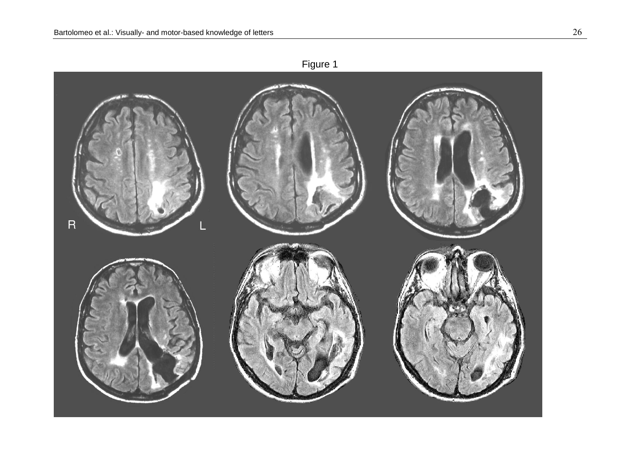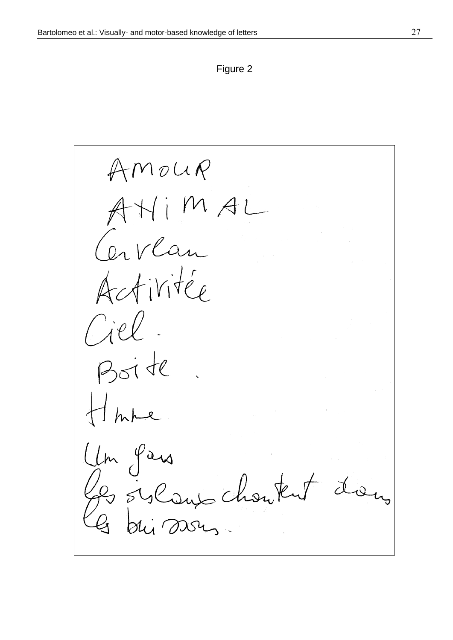Figure 2

 $AMouR$ AHIMAL<br>Carlan Activitée Ciel Boite Um Pars 2 sylans chanten